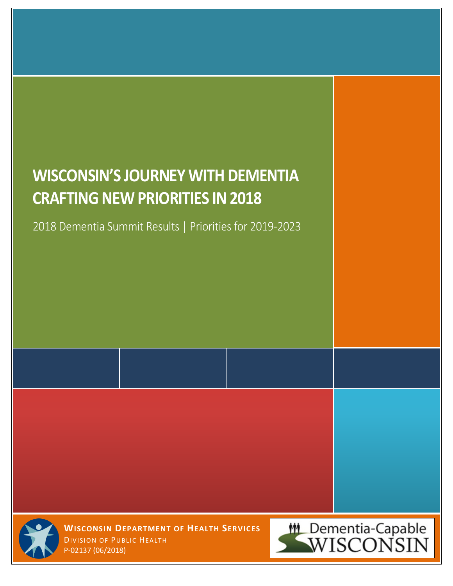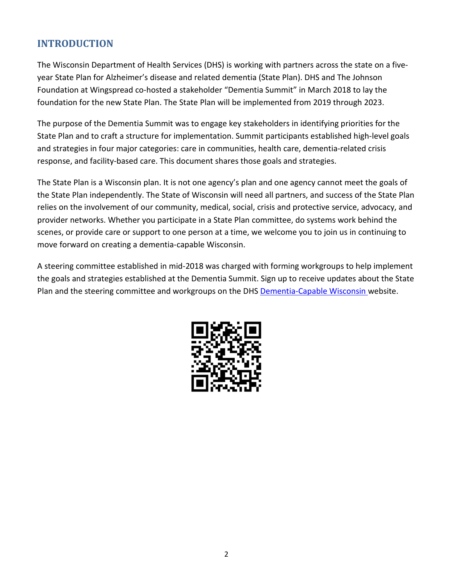### **INTRODUCTION**

The Wisconsin Department of Health Services (DHS) is working with partners across the state on a fiveyear State Plan for Alzheimer's disease and related dementia (State Plan). DHS and The Johnson Foundation at Wingspread co-hosted a stakeholder "Dementia Summit" in March 2018 to lay the foundation for the new State Plan. The State Plan will be implemented from 2019 through 2023.

The purpose of the Dementia Summit was to engage key stakeholders in identifying priorities for the State Plan and to craft a structure for implementation. Summit participants established high-level goals and strategies in four major categories: care in communities, health care, dementia-related crisis response, and facility-based care. This document shares those goals and strategies.

The State Plan is a Wisconsin plan. It is not one agency's plan and one agency cannot meet the goals of the State Plan independently. The State of Wisconsin will need all partners, and success of the State Plan relies on the involvement of our community, medical, social, crisis and protective service, advocacy, and provider networks. Whether you participate in a State Plan committee, do systems work behind the scenes, or provide care or support to one person at a time, we welcome you to join us in continuing to move forward on creating a dementia-capable Wisconsin.

A steering committee established in mid-2018 was charged with forming workgroups to help implement the goals and strategies established at the Dementia Summit. Sign up to receive updates about the State Plan and the steering committee and workgroups on the DHS [Dementia-Capable Wisconsin](https://www.dhs.wisconsin.gov/dementia/index.htm) website.

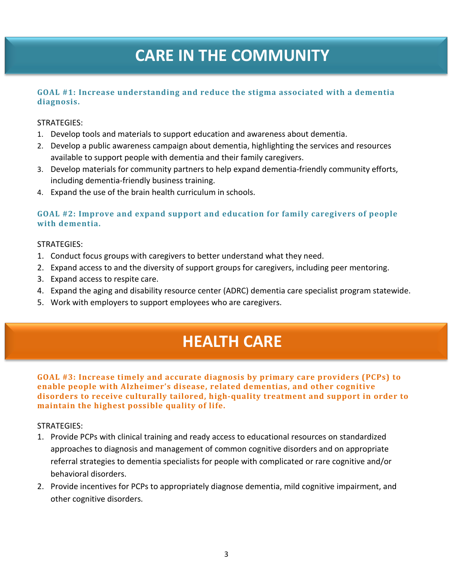# **CARE IN THE COMMUNITY**

#### **GOAL #1: Increase understanding and reduce the stigma associated with a dementia diagnosis.**

#### STRATEGIES:

- 1. Develop tools and materials to support education and awareness about dementia.
- 2. Develop a public awareness campaign about dementia, highlighting the services and resources available to support people with dementia and their family caregivers.
- 3. Develop materials for community partners to help expand dementia-friendly community efforts, including dementia-friendly business training.
- 4. Expand the use of the brain health curriculum in schools.

#### **GOAL #2: Improve and expand support and education for family caregivers of people with dementia.**

#### STRATEGIES:

- 1. Conduct focus groups with caregivers to better understand what they need.
- 2. Expand access to and the diversity of support groups for caregivers, including peer mentoring.
- 3. Expand access to respite care.
- 4. Expand the aging and disability resource center (ADRC) dementia care specialist program statewide.
- 5. Work with employers to support employees who are caregivers.

# **HEALTH CARE**

**GOAL #3: Increase timely and accurate diagnosis by primary care providers (PCPs) to enable people with Alzheimer's disease, related dementias, and other cognitive disorders to receive culturally tailored, high-quality treatment and support in order to maintain the highest possible quality of life.** 

#### STRATEGIES:

- 1. Provide PCPs with clinical training and ready access to educational resources on standardized approaches to diagnosis and management of common cognitive disorders and on appropriate referral strategies to dementia specialists for people with complicated or rare cognitive and/or behavioral disorders.
- 2. Provide incentives for PCPs to appropriately diagnose dementia, mild cognitive impairment, and other cognitive disorders.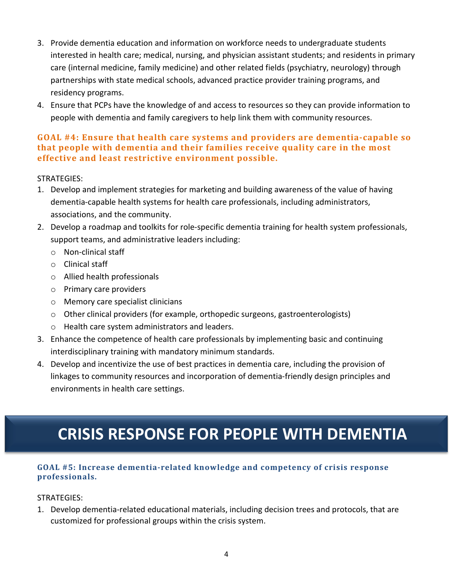- 3. Provide dementia education and information on workforce needs to undergraduate students interested in health care; medical, nursing, and physician assistant students; and residents in primary care (internal medicine, family medicine) and other related fields (psychiatry, neurology) through partnerships with state medical schools, advanced practice provider training programs, and residency programs.
- 4. Ensure that PCPs have the knowledge of and access to resources so they can provide information to people with dementia and family caregivers to help link them with community resources.

### **GOAL #4: Ensure that health care systems and providers are dementia-capable so that people with dementia and their families receive quality care in the most effective and least restrictive environment possible.**

### STRATEGIES:

- 1. Develop and implement strategies for marketing and building awareness of the value of having dementia-capable health systems for health care professionals, including administrators, associations, and the community.
- 2. Develop a roadmap and toolkits for role-specific dementia training for health system professionals, support teams, and administrative leaders including:
	- o Non-clinical staff
	- o Clinical staff
	- o Allied health professionals
	- o Primary care providers
	- o Memory care specialist clinicians
	- $\circ$  Other clinical providers (for example, orthopedic surgeons, gastroenterologists)
	- o Health care system administrators and leaders.
- 3. Enhance the competence of health care professionals by implementing basic and continuing interdisciplinary training with mandatory minimum standards.
- 4. Develop and incentivize the use of best practices in dementia care, including the provision of linkages to community resources and incorporation of dementia-friendly design principles and environments in health care settings.

# **CRISIS RESPONSE FOR PEOPLE WITH DEMENTIA**

#### **GOAL #5: Increase dementia-related knowledge and competency of crisis response professionals.**

#### STRATEGIES:

1. Develop dementia-related educational materials, including decision trees and protocols, that are customized for professional groups within the crisis system.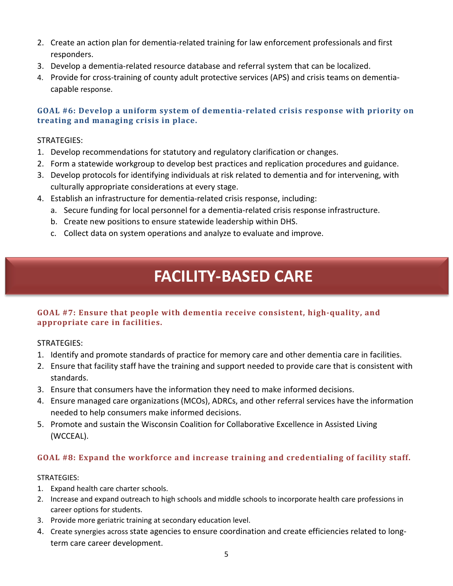- 2. Create an action plan for dementia-related training for law enforcement professionals and first responders.
- 3. Develop a dementia-related resource database and referral system that can be localized.
- 4. Provide for cross-training of county adult protective services (APS) and crisis teams on dementiacapable response.

#### **GOAL #6: Develop a uniform system of dementia-related crisis response with priority on treating and managing crisis in place.**

#### STRATEGIES:

- 1. Develop recommendations for statutory and regulatory clarification or changes.
- 2. Form a statewide workgroup to develop best practices and replication procedures and guidance.
- 3. Develop protocols for identifying individuals at risk related to dementia and for intervening, with culturally appropriate considerations at every stage.
- 4. Establish an infrastructure for dementia-related crisis response, including:
	- a. Secure funding for local personnel for a dementia-related crisis response infrastructure.
	- b. Create new positions to ensure statewide leadership within DHS.
	- c. Collect data on system operations and analyze to evaluate and improve.

# **FACILITY-BASED CARE**

#### **GOAL #7: Ensure that people with dementia receive consistent, high-quality, and appropriate care in facilities.**

#### STRATEGIES:

- 1. Identify and promote standards of practice for memory care and other dementia care in facilities.
- 2. Ensure that facility staff have the training and support needed to provide care that is consistent with standards.
- 3. Ensure that consumers have the information they need to make informed decisions.
- 4. Ensure managed care organizations (MCOs), ADRCs, and other referral services have the information needed to help consumers make informed decisions.
- 5. Promote and sustain the Wisconsin Coalition for Collaborative Excellence in Assisted Living (WCCEAL).

### **GOAL #8: Expand the workforce and increase training and credentialing of facility staff.**

#### STRATEGIES:

- 1. Expand health care charter schools.
- 2. Increase and expand outreach to high schools and middle schools to incorporate health care professions in career options for students.
- 3. Provide more geriatric training at secondary education level.
- 4. Create synergies across state agencies to ensure coordination and create efficiencies related to longterm care career development.